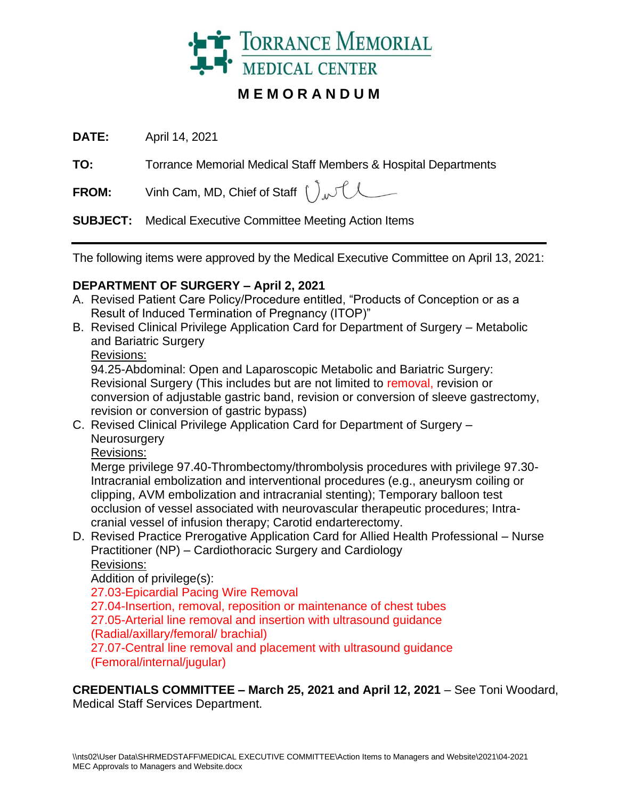

# **M E M O R A N D U M**

**DATE:** April 14, 2021

**TO:** Torrance Memorial Medical Staff Members & Hospital Departments

**FROM:** Vinh Cam, MD, Chief of Staff  $\int_{\Lambda} \mathcal{H}$ 

**SUBJECT:** Medical Executive Committee Meeting Action Items

The following items were approved by the Medical Executive Committee on April 13, 2021:

## **DEPARTMENT OF SURGERY – April 2, 2021**

- A. Revised Patient Care Policy/Procedure entitled, "Products of Conception or as a Result of Induced Termination of Pregnancy (ITOP)"
- B. Revised Clinical Privilege Application Card for Department of Surgery Metabolic and Bariatric Surgery

Revisions:

94.25-Abdominal: Open and Laparoscopic Metabolic and Bariatric Surgery: Revisional Surgery (This includes but are not limited to removal, revision or conversion of adjustable gastric band, revision or conversion of sleeve gastrectomy, revision or conversion of gastric bypass)

C. Revised Clinical Privilege Application Card for Department of Surgery – **Neurosurgery** 

Revisions:

Merge privilege 97.40-Thrombectomy/thrombolysis procedures with privilege 97.30- Intracranial embolization and interventional procedures (e.g., aneurysm coiling or clipping, AVM embolization and intracranial stenting); Temporary balloon test occlusion of vessel associated with neurovascular therapeutic procedures; Intracranial vessel of infusion therapy; Carotid endarterectomy.

D. Revised Practice Prerogative Application Card for Allied Health Professional – Nurse Practitioner (NP) – Cardiothoracic Surgery and Cardiology Revisions:

Addition of privilege(s):

27.03-Epicardial Pacing Wire Removal

27.04-Insertion, removal, reposition or maintenance of chest tubes 27.05-Arterial line removal and insertion with ultrasound guidance (Radial/axillary/femoral/ brachial)

27.07-Central line removal and placement with ultrasound guidance (Femoral/internal/jugular)

**CREDENTIALS COMMITTEE – March 25, 2021 and April 12, 2021** – See Toni Woodard, Medical Staff Services Department.